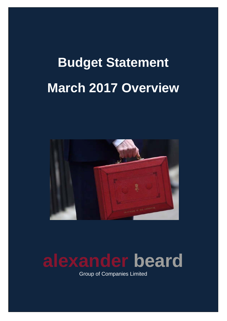# **Budget Statement March 2017 Overview**



# **alexander beard**

Group of Companies Limited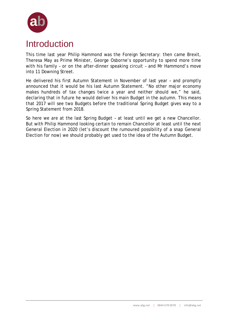

### Introduction

This time last year Philip Hammond was the Foreign Secretary: then came Brexit, Theresa May as Prime Minister, George Osborne's opportunity to spend more time with his family – or on the after-dinner speaking circuit – and Mr Hammond's move into 11 Downing Street.

He delivered his first Autumn Statement in November of last year – and promptly announced that it would be his *last* Autumn Statement. "No other major economy makes hundreds of tax changes twice a year and neither should we," he said, declaring that in future he would deliver his main Budget in the autumn. This means that 2017 will see two Budgets before the traditional Spring Budget gives way to a Spring Statement from 2018.

So here we are at the last Spring Budget – at least until we get a new Chancellor. But with Philip Hammond looking certain to remain Chancellor at least until the next General Election in 2020 (let's discount the rumoured possibility of a snap General Election for now) we should probably get used to the idea of the Autumn Budget.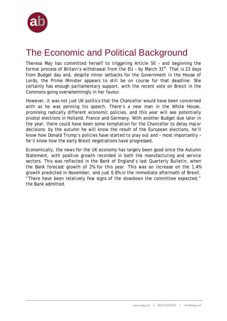

# The Economic and Political Background

Theresa May has committed herself to triggering Article 50 – and beginning the formal process of Britain's withdrawal from the EU - by March  $31<sup>st</sup>$ . That is 23 days from Budget day and, despite minor setbacks for the Government in the House of Lords, the Prime Minister appears to still be on course for that deadline. She certainly has enough parliamentary support, with the recent vote on Brexit in the Commons going overwhelmingly in her favour.

However, it was not just UK politics that the Chancellor would have been concerned with as he was penning his speech. There's a new man in the White House, promising radically different economic policies, and this year will see potentially pivotal elections in Holland, France and Germany. With another Budget due later in the year, there could have been some temptation for the Chancellor to delay major decisions: by the autumn he will know the result of the European elections, he'll know how Donald Trump's policies have started to play out and – most importantly – he'll know how the early Brexit negotiations have progressed.

Economically, the news for the UK economy has largely been good since the Autumn Statement, with positive growth recorded in both the manufacturing and service sectors. This was reflected in the Bank of England's last Quarterly Bulletin, when the Bank forecast growth of 2% for this year. This was an increase on the 1.4% growth predicted in November, and just 0.8% in the immediate aftermath of Brexit. "There have been relatively few signs of the slowdown the committee expected," the Bank admitted.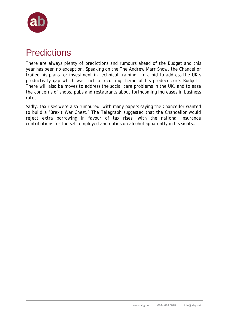

## **Predictions**

There are always plenty of predictions and rumours ahead of the Budget and this year has been no exception. Speaking on the *The Andrew Marr Show*, the Chancellor trailed his plans for investment in technical training – in a bid to address the UK's productivity gap which was such a recurring theme of his predecessor's Budgets. There will also be moves to address the social care problems in the UK, and to ease the concerns of shops, pubs and restaurants about forthcoming increases in business rates.

Sadly, tax rises were also rumoured, with many papers saying the Chancellor wanted to build a 'Brexit War Chest.' The *Telegraph* suggested that the Chancellor would reject extra borrowing in favour of tax rises, with the national insurance contributions for the self-employed and duties on alcohol apparently in his sights…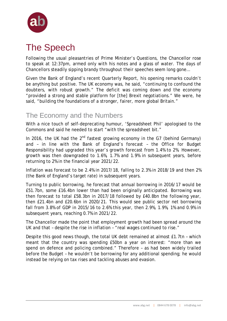

# The Speech

Following the usual pleasantries of Prime Minister's Questions, the Chancellor rose to speak at 12:37pm, armed only with his notes and a glass of water. The days of Chancellors steadily sipping brandy throughout their speeches seem long gone…

Given the Bank of England's recent Quarterly Report, his opening remarks couldn't be anything but positive. The UK economy was, he said, "continuing to confound the doubters, with robust growth." The deficit was coming down and the economy "provided a strong and stable platform for [the] Brexit negotiations." We were, he said, "building the foundations of a stronger, fairer, more global Britain."

### The Economy and the Numbers

With a nice touch of self-deprecating humour, 'Spreadsheet Phil' apologised to the Commons and said he needed to start "with the spreadsheet bit."

In 2016, the UK had the  $2^{nd}$  fastest growing economy in the G7 (behind Germany) and – in line with the Bank of England's forecast – the Office for Budget Responsibility had upgraded this year's growth forecast from 1.4% to 2%. However, growth was then downgraded to 1.6%, 1.7% and 1.9% in subsequent years, before returning to 2% in the financial year 2021/22.

Inflation was forecast to be 2.4% in 2017/18, falling to 2.3% in 2018/19 and then 2% (the Bank of England's target rate) in subsequent years.

Turning to public borrowing, he forecast that annual borrowing in 2016/17 would be £51.7bn, some £16.4bn lower than had been originally anticipated. Borrowing was then forecast to total £58.3bn in 2017/18 followed by £40.8bn the following year, then £21.4bn and £20.6bn in 2020/21. This would see public sector net borrowing fall from 3.8% of GDP in 2015/16 to 2.6% this year, then 2.9%, 1.9%, 1% and 0.9% in subsequent years, reaching 0.7% in 2021/22.

The Chancellor made the point that employment growth had been spread around the UK and that – despite the rise in inflation – "real wages continued to rise."

Despite this good news though, the total UK debt remained at almost £1.7tn – which meant that the country was spending £50bn a year on interest: "more than we spend on defence and policing combined." Therefore – as had been widely trailed before the Budget – he wouldn't be borrowing for any additional spending; he would instead be relying on tax rises and tackling abuses and evasion.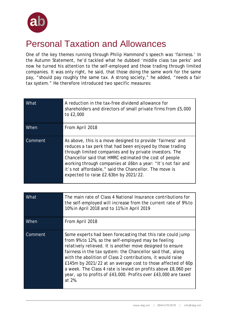

### Personal Taxation and Allowances

One of the key themes running through Philip Hammond's speech was 'fairness.' In the Autumn Statement, he'd tackled what he dubbed 'middle class tax perks' and now he turned his attention to the self-employed and those trading through limited companies. It was only right, he said, that those doing the same work for the same pay, "should pay roughly the same tax. A strong society," he added, "needs a fair tax system." He therefore introduced two specific measures:

| What    | A reduction in the tax-free dividend allowance for<br>shareholders and directors of small private firms from £5,000<br>to £2,000                                                                                                                                                                                                                                                                                 |
|---------|------------------------------------------------------------------------------------------------------------------------------------------------------------------------------------------------------------------------------------------------------------------------------------------------------------------------------------------------------------------------------------------------------------------|
| When    | From April 2018                                                                                                                                                                                                                                                                                                                                                                                                  |
| Comment | As above, this is a move designed to provide 'fairness' and<br>reduces a tax perk that had been enjoyed by those trading<br>through limited companies and by private investors. The<br>Chancellor said that HMRC estimated the cost of people<br>working through companies at £6bn a year: "It's not fair and<br>it's not affordable," said the Chancellor. The move is<br>expected to raise £2.63bn by 2021/22. |

| What    | The main rate of Class 4 National Insurance contributions for<br>the self-employed will increase from the current rate of 9% to<br>10% in April 2018 and to 11% in April 2019                                                                                                                                                                                                                                                                                                                                                |
|---------|------------------------------------------------------------------------------------------------------------------------------------------------------------------------------------------------------------------------------------------------------------------------------------------------------------------------------------------------------------------------------------------------------------------------------------------------------------------------------------------------------------------------------|
| When    | From April 2018                                                                                                                                                                                                                                                                                                                                                                                                                                                                                                              |
| Comment | Some experts had been forecasting that this rate could jump<br>from 9% to 12%, so the self-employed may be feeling<br>relatively relieved. It is another move designed to ensure<br>fairness in the tax system: the Chancellor said that, along<br>with the abolition of Class 2 contributions, it would raise<br>£145m by 2021/22 at an average cost to those affected of 60p<br>a week. The Class 4 rate is levied on profits above £8,060 per<br>year, up to profits of £43,000. Profits over £43,000 are taxed<br>at 2%. |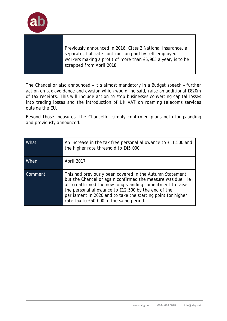

Previously announced in 2016, Class 2 National Insurance, a separate, flat-rate contribution paid by self-employed workers making a profit of more than £5,965 a year, is to be scrapped from April 2018.

The Chancellor also announced – it's almost mandatory in a Budget speech – further action on tax avoidance and evasion which would, he said, raise an additional £820m of tax receipts. This will include action to stop businesses converting capital losses into trading losses and the introduction of UK VAT on roaming telecoms services outside the EU.

Beyond those measures, the Chancellor simply confirmed plans both longstanding and previously announced.

| What    | An increase in the tax free personal allowance to £11,500 and<br>the higher rate threshold to £45,000                                                                                                                                                                                                                                                 |
|---------|-------------------------------------------------------------------------------------------------------------------------------------------------------------------------------------------------------------------------------------------------------------------------------------------------------------------------------------------------------|
| When    | April 2017                                                                                                                                                                                                                                                                                                                                            |
| Comment | This had previously been covered in the Autumn Statement<br>but the Chancellor again confirmed the measure was due. He<br>also reaffirmed the now long-standing commitment to raise<br>the personal allowance to £12,500 by the end of the<br>parliament in 2020 and to take the starting point for higher<br>rate tax to £50,000 in the same period. |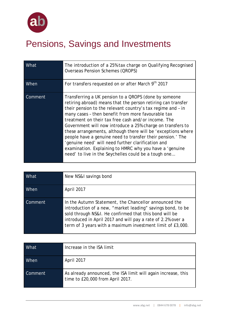

# Pensions, Savings and Investments

| What    | The introduction of a 25% tax charge on Qualifying Recognised<br><b>Overseas Pension Schemes (QROPS)</b>                                                                                                                                                                                                                                                                                                                                                                                                                                                                                                                                                               |
|---------|------------------------------------------------------------------------------------------------------------------------------------------------------------------------------------------------------------------------------------------------------------------------------------------------------------------------------------------------------------------------------------------------------------------------------------------------------------------------------------------------------------------------------------------------------------------------------------------------------------------------------------------------------------------------|
| When    | For transfers requested on or after March 9th 2017                                                                                                                                                                                                                                                                                                                                                                                                                                                                                                                                                                                                                     |
| Comment | Transferring a UK pension to a QROPS (done by someone<br>retiring abroad) means that the person retiring can transfer<br>their pension to the relevant country's tax regime and - in<br>many cases - then benefit from more favourable tax<br>treatment on their tax free cash and/or income. The<br>Government will now introduce a 25% charge on transfers to<br>these arrangements, although there will be 'exceptions where<br>people have a genuine need to transfer their pension.' The<br>'genuine need' will need further clarification and<br>examination. Explaining to HMRC why you have a 'genuine<br>need' to live in the Seychelles could be a tough one |

| What    | New NS&I savings bond                                                                                                                                                                                                                                                                                       |
|---------|-------------------------------------------------------------------------------------------------------------------------------------------------------------------------------------------------------------------------------------------------------------------------------------------------------------|
| When    | April 2017                                                                                                                                                                                                                                                                                                  |
| Comment | In the Autumn Statement, the Chancellor announced the<br>introduction of a new, "market leading" savings bond, to be<br>sold through NS&I. He confirmed that this bond will be<br>introduced in April 2017 and will pay a rate of 2.2% over a<br>term of 3 years with a maximum investment limit of £3,000. |

| What        | Increase in the ISA limit                                                                         |
|-------------|---------------------------------------------------------------------------------------------------|
| <b>When</b> | April 2017                                                                                        |
| Comment     | As already announced, the ISA limit will again increase, this<br>time to £20,000 from April 2017. |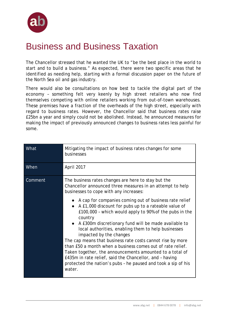

### Business and Business Taxation

The Chancellor stressed that he wanted the UK to "be the best place in the world to start and to build a business." As expected, there were two specific areas that he identified as needing help, starting with a formal discussion paper on the future of the North Sea oil and gas industry.

There would also be consultations on how best to tackle the digital part of the economy – something felt very keenly by high street retailers who now find themselves competing with online retailers working from out-of-town warehouses. These premises have a fraction of the overheads of the high street, especially with regard to business rates. However, the Chancellor said that business rates raise £25bn a year and simply could not be abolished. Instead, he announced measures for making the impact of previously announced changes to business rates less painful for some.

| What    | Mitigating the impact of business rates changes for some<br>businesses                                                                                                                                                                                                                                                                                                                                                                                                                                                                                                                                                                                        |
|---------|---------------------------------------------------------------------------------------------------------------------------------------------------------------------------------------------------------------------------------------------------------------------------------------------------------------------------------------------------------------------------------------------------------------------------------------------------------------------------------------------------------------------------------------------------------------------------------------------------------------------------------------------------------------|
| When    | April 2017                                                                                                                                                                                                                                                                                                                                                                                                                                                                                                                                                                                                                                                    |
| Comment | The business rates changes are here to stay but the<br>Chancellor announced three measures in an attempt to help<br>businesses to cope with any increases:                                                                                                                                                                                                                                                                                                                                                                                                                                                                                                    |
|         | • A cap for companies coming out of business rate relief<br>A £1,000 discount for pubs up to a rateable value of<br>£100,000 - which would apply to 90% of the pubs in the<br>country<br>A £300m discretionary fund will be made available to<br>local authorities, enabling them to help businesses<br>impacted by the changes<br>The cap means that business rate costs cannot rise by more<br>than £50 a month when a business comes out of rate relief.<br>Taken together, the announcements amounted to a total of<br>£435m in rate relief, said the Chancellor, and - having<br>protected the nation's pubs - he paused and took a sip of his<br>water. |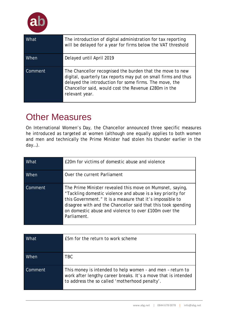

| What    | The introduction of digital administration for tax reporting<br>will be delayed for a year for firms below the VAT threshold                                                                                                                                    |
|---------|-----------------------------------------------------------------------------------------------------------------------------------------------------------------------------------------------------------------------------------------------------------------|
| When    | Delayed until April 2019                                                                                                                                                                                                                                        |
| Comment | The Chancellor recognised the burden that the move to new<br>digital, quarterly tax reports may put on small firms and thus<br>delayed the introduction for some firms. The move, the<br>Chancellor said, would cost the Revenue £280m in the<br>relevant year. |

### Other Measures

On International Women's Day, the Chancellor announced three specific measures he introduced as targeted at women (although one equally applies to both women and men and technically the Prime Minister had stolen his thunder earlier in the day…).

| What    | £20m for victims of domestic abuse and violence                                                                                                                                                                                                                                                                                        |
|---------|----------------------------------------------------------------------------------------------------------------------------------------------------------------------------------------------------------------------------------------------------------------------------------------------------------------------------------------|
| When    | Over the current Parliament                                                                                                                                                                                                                                                                                                            |
| Comment | The Prime Minister revealed this move on <i>Mumsnet</i> , saying,<br>"Tackling domestic violence and abuse is a key priority for<br>this Government." It is a measure that it's impossible to<br>disagree with and the Chancellor said that this took spending<br>on domestic abuse and violence to over £100m over the<br>Parliament. |

| What    | E5m for the return to work scheme                                                                                                                                              |
|---------|--------------------------------------------------------------------------------------------------------------------------------------------------------------------------------|
| When    | <b>TBC</b>                                                                                                                                                                     |
| Comment | This money is intended to help women - and men - return to<br>work after lengthy career breaks. It's a move that is intended<br>to address the so called 'motherhood penalty'. |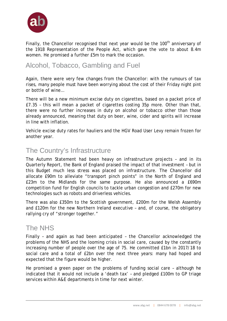

Finally, the Chancellor recognised that next year would be the  $100<sup>th</sup>$  anniversary of the 1918 Representation of the People Act, which gave the vote to about 8.4m women. He promised a further £5m to mark the occasion.

#### Alcohol, Tobacco, Gambling and Fuel

Again, there were very few changes from the Chancellor: with the rumours of tax rises, many people must have been worrying about the cost of their Friday night pint or bottle of wine…

There will be a new minimum excise duty on cigarettes, based on a packet price of £7.35 – this will mean a packet of cigarettes costing 35p more. Other than that, there were no further increases in duty on alcohol or tobacco other than those already announced, meaning that duty on beer, wine, cider and spirits will increase in line with inflation.

Vehicle excise duty rates for hauliers and the HGV Road User Levy remain frozen for another year.

### The Country's Infrastructure

The Autumn Statement had been heavy on infrastructure projects – and in its Quarterly Report, the Bank of England praised the impact of that investment – but in this Budget much less stress was placed on infrastructure. The Chancellor did allocate £90m to alleviate "transport pinch points" in the North of England and £23m to the Midlands for the same purpose. He also announced a £690m competition fund for English councils to tackle urban congestion and £270m for new technologies such as robots and driverless vehicles.

There was also £350m to the Scottish government, £200m for the Welsh Assembly and £120m for the new Northern Ireland executive – and, of course, the obligatory rallying cry of "stronger together."

#### The NHS

Finally – and again as had been anticipated – the Chancellor acknowledged the problems of the NHS and the looming crisis in social care, caused by the constantly increasing number of people over the age of 75. He committed £1bn in 2017/18 to social care and a total of £2bn over the next three years: many had hoped and expected that the figure would be higher.

He promised a green paper on the problems of funding social care – although he indicated that it would not include a 'death tax' – and pledged £100m to GP triage services within A&E departments in time for next winter.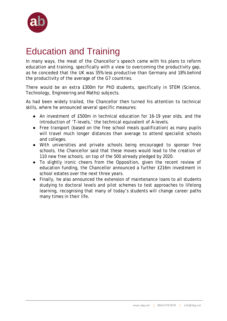

### Education and Training

In many ways, the meat of the Chancellor's speech came with his plans to reform education and training, specifically with a view to overcoming the productivity gap, as he conceded that the UK was 35% less productive than Germany and 18% behind the productivity of the average of the G7 countries.

There would be an extra £300m for PhD students, specifically in STEM (Science, Technology, Engineering and Maths) subjects.

As had been widely trailed, the Chancellor then turned his attention to technical skills, where he announced several specific measures:

- An investment of £500m in technical education for 16-19 year olds, and the introduction of 'T-levels,' the technical equivalent of A-levels.
- Free transport (based on the free school meals qualification) as many pupils will travel much longer distances than average to attend specialist schools and colleges.
- With universities and private schools being encouraged to sponsor free schools, the Chancellor said that these moves would lead to the creation of 110 new free schools, on top of the 500 already pledged by 2020.
- To slightly ironic cheers from the Opposition, given the recent review of education funding, the Chancellor announced a further £216m investment in school estates over the next three years.
- Finally, he also announced the extension of maintenance loans to all students studying to doctoral levels and pilot schemes to test approaches to lifelong learning, recognising that many of today's students will change career paths many times in their life.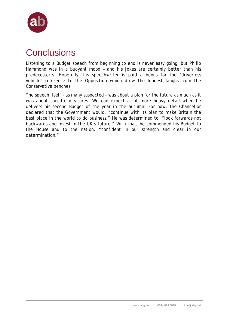

# **Conclusions**

Listening to a Budget speech from beginning to end is never easy going, but Philip Hammond was in a buoyant mood – and his jokes are certainly better than his predecessor's. Hopefully, his speechwriter is paid a bonus for the 'driverless vehicle' reference to the Opposition which drew the loudest laughs from the Conservative benches.

The speech itself – as many suspected – was about a plan for the future as much as it was about specific measures. We can expect a lot more heavy detail when he delivers his second Budget of the year in the autumn. For now, the Chancellor declared that the Government would, "continue with its plan to make Britain the best place in the world to do business." He was determined to, "look forwards not backwards and invest in the UK's future." With that, he commended his Budget to the House and to the nation, "confident in our strength and clear in our determination."